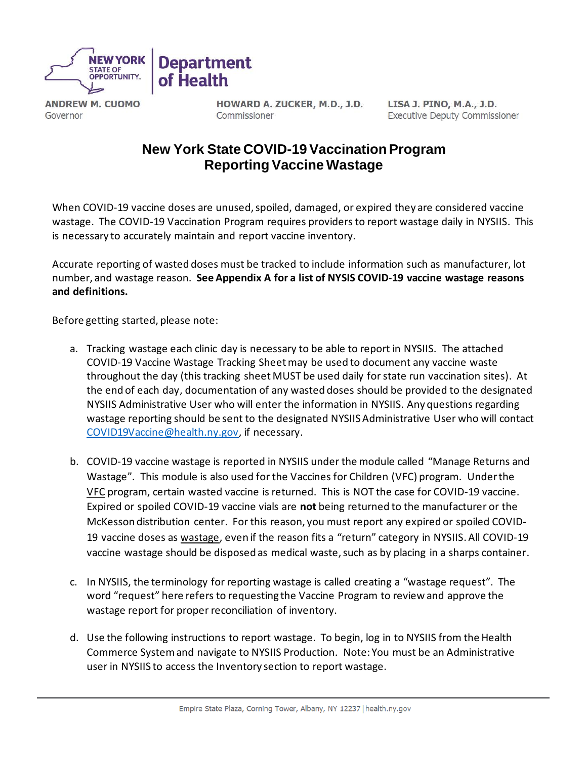

**ANDREW M. CUOMO** Governor

HOWARD A. ZUCKER, M.D., J.D. Commissioner

LISA J. PINO, M.A., J.D. **Executive Deputy Commissioner** 

## **New York State COVID-19 Vaccination Program Reporting Vaccine Wastage**

When COVID-19 vaccine doses are unused, spoiled, damaged, or expired they are considered vaccine wastage. The COVID-19 Vaccination Program requires providers to report wastage daily in NYSIIS. This is necessary to accurately maintain and report vaccine inventory.

Accurate reporting of wasted doses must be tracked to include information such as manufacturer, lot number, and wastage reason. **See Appendix A for a list of NYSIS COVID-19 vaccine wastage reasons and definitions.**

Before getting started, please note:

- a. Tracking wastage each clinic day is necessary to be able to report in NYSIIS. The attached COVID-19 Vaccine Wastage Tracking Sheetmay be used to document any vaccine waste throughout the day (this tracking sheet MUST be used daily for state run vaccination sites). At the end of each day, documentation of any wasted doses should be provided to the designated NYSIIS Administrative User who will enter the information in NYSIIS. Any questions regarding wastage reporting should be sent to the designated NYSIIS Administrative User who will contact [COVID19Vaccine@health.ny.gov,](mailto:COVID19Vaccine@health.ny.gov) if necessary.
- b. COVID-19 vaccine wastage is reported in NYSIIS under the module called "Manage Returns and Wastage". This module is also used for the Vaccines for Children (VFC) program. Under the VFC program, certain wasted vaccine is returned. This is NOT the case for COVID-19 vaccine. Expired or spoiled COVID-19 vaccine vials are **not** being returned to the manufacturer or the McKesson distribution center. For this reason, you must report any expired or spoiled COVID-19 vaccine doses as wastage, even if the reason fits a "return" category in NYSIIS. All COVID-19 vaccine wastage should be disposed as medical waste, such as by placing in a sharps container.
- c. In NYSIIS, the terminology for reporting wastage is called creating a "wastage request". The word "request" here refers to requesting the Vaccine Program to review and approve the wastage report for proper reconciliation of inventory.
- d. Use the following instructions to report wastage. To begin, log in to NYSIIS from the Health Commerce System and navigate to NYSIIS Production. Note: You must be an Administrative user in NYSIIS to access the Inventory section to report wastage.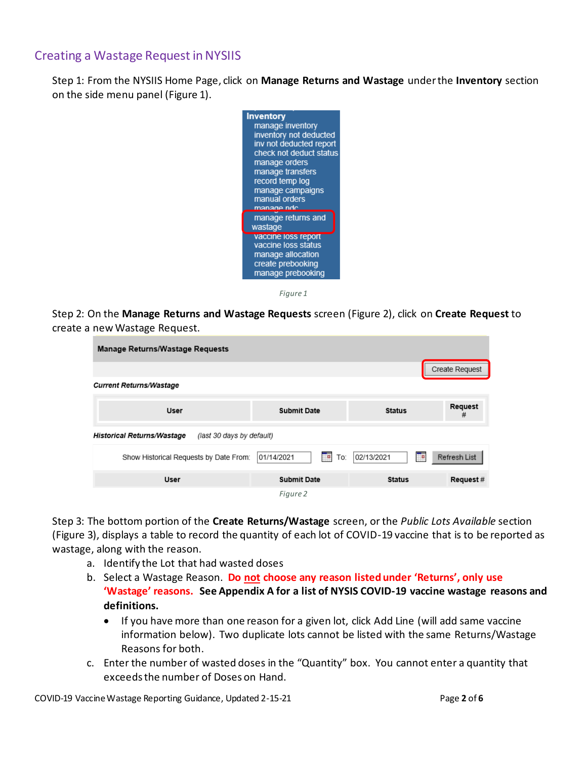## Creating a Wastage Request in NYSIIS

<span id="page-1-0"></span>Step 1: From the NYSIIS Home Page, click on **Manage Returns and Wastage** under the **Inventory** section on the side menu pane[l \(Figure](#page-1-0) 1).



*Figure 1*

Step 2: On the **Manage Returns and Wastage Requests** scree[n \(Figure 2\)](#page-1-1), click on **Create Request** to create a new Wastage Request.

| <b>Manage Returns/Wastage Requests</b>                         |                                   |                 |                |  |  |  |
|----------------------------------------------------------------|-----------------------------------|-----------------|----------------|--|--|--|
|                                                                |                                   |                 | Create Request |  |  |  |
| <b>Current Returns/Wastage</b>                                 |                                   |                 |                |  |  |  |
| <b>User</b>                                                    | <b>Submit Date</b>                | <b>Status</b>   | Request<br>#   |  |  |  |
| <b>Historical Returns/Wastage</b><br>(last 30 days by default) |                                   |                 |                |  |  |  |
| Show Historical Requests by Date From:                         | 01/14/2021<br><b>Filte</b><br>To: | 02/13/2021<br>P | Refresh List   |  |  |  |
| <b>User</b>                                                    | <b>Submit Date</b>                | <b>Status</b>   | Request#       |  |  |  |
|                                                                | Figure 2                          |                 |                |  |  |  |

<span id="page-1-1"></span>Step 3: The bottom portion of the **Create Returns/Wastage** screen, or the *Public Lots Available* section (Figure 3), displays a table to record the quantity of each lot of COVID-19 vaccine that is to be reported as wastage, along with the reason.

- a. Identify the Lot that had wasted doses
- b. Select a Wastage Reason. **Do not choose any reason listed under 'Returns', only use 'Wastage' reasons. See Appendix A for a list of NYSIS COVID-19 vaccine wastage reasons and definitions.**
	- If you have more than one reason for a given lot, click Add Line (will add same vaccine information below). Two duplicate lots cannot be listed with the same Returns/Wastage Reasons for both.
- c. Enter the number of wasted doses in the "Quantity" box. You cannot enter a quantity that exceeds the number of Doses on Hand.

COVID-19 Vaccine Wastage Reporting Guidance, Updated 2-15-21 Page **2** of **6**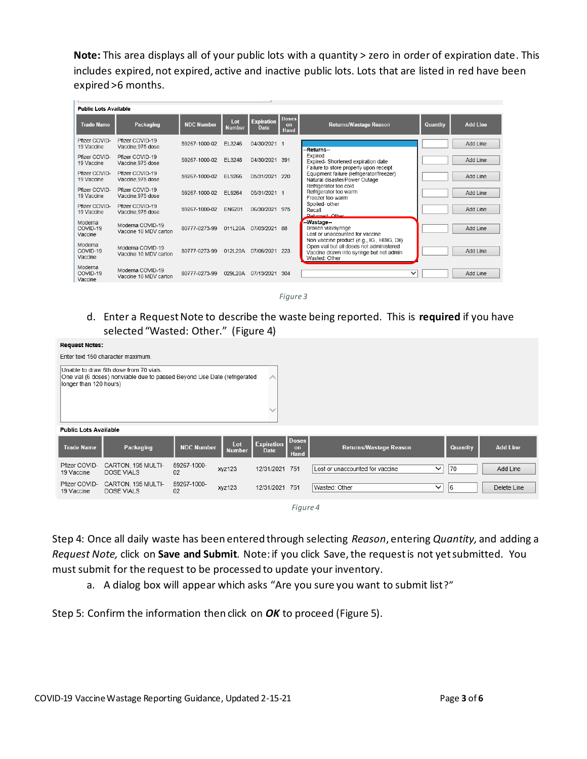**Note:** This area displays all of your public lots with a quantity > zero in order of expiration date. This includes expired, not expired, active and inactive public lots. Lots that are listed in red have been expired >6 months.

| <b>Public Lots Available</b>   |                                           |                   |               |                                  |                            |                                                                                                                                                    |          |                 |
|--------------------------------|-------------------------------------------|-------------------|---------------|----------------------------------|----------------------------|----------------------------------------------------------------------------------------------------------------------------------------------------|----------|-----------------|
| <b>Trade Name</b>              | Packaging                                 | <b>NDC Number</b> | Lot<br>Number | <b>Expiration</b><br><b>Date</b> | <b>Doses</b><br>on<br>Hand | <b>Returns/Wastage Reason</b>                                                                                                                      | Quantity | <b>Add Line</b> |
| Pfizer COVID-<br>19 Vaccine    | Pfizer COVID-19<br>Vaccine, 975 dose      | 59267-1000-02     | FI 3246       | 04/30/2021 1                     |                            | --Returns--                                                                                                                                        |          | Add I ine       |
| Pfizer COVID-<br>19 Vaccine    | Pfizer COVID-19<br>Vaccine.975 dose       | 59267-1000-02     | EL3248        | 04/30/2021                       | 391                        | Expired<br>Expired-Shortened expiration date<br>Failure to store properly upon receipt                                                             |          | Add Line        |
| Pfizer COVID-<br>19 Vaccine    | Pfizer COVID-19<br>Vaccine.975 dose       | 59267-1000-02     | EL9266        | 05/31/2021                       | 220                        | Equipment failure (refrigerator/freezer)<br>Natural disaster/Power Outage                                                                          |          | Add I ine       |
| Pfizer COVID-<br>19 Vaccine    | Pfizer COVID-19<br>Vaccine, 975 dose      | 59267-1000-02     | FL9264        | 05/31/2021 1                     |                            | Refrigerator too cold<br>Refrigerator too warm<br>Freezer too warm                                                                                 |          | Add Line        |
| Pfizer COVID-<br>19 Vaccine    | Pfizer COVID-19<br>Vaccine.975 dose       | 59267-1000-02     | FN6201        | 06/30/2021                       | 975                        | Spoiled- other<br>Recall<br><b>Deturned: Other</b>                                                                                                 |          | Add Line        |
| Moderna<br>COVID-19<br>Vaccine | Moderna COVID-19<br>Vaccine 10 MDV carton | 80777-0273-99     | 011L20A       | 07/03/2021 88                    |                            | --Wastage--<br>Broken vial/syringe<br>Lost or unaccounted for vaccine                                                                              |          | Add Line        |
| Moderna<br>COVID-19<br>Vaccine | Moderna COVID-19<br>Vaccine 10 MDV carton | 80777-0273-99     | 012L20A       | 07/06/2021                       | 223                        | Non vaccine product (e.g., IG, HBIG, Dil)<br>Open vial but all doses not administered<br>Vaccine drawn into syringe but not admin<br>Wasted: Other |          | Add I ine       |
| Moderna<br>COVID-19<br>Vaccine | Moderna COVID-19<br>Vaccine 10 MDV carton | 80777-0273-99     | 029L20A       | 07/13/2021                       | 304                        | $\checkmark$                                                                                                                                       |          | Add Line        |

*Figure 3*

d. Enter a Request Note to describe the waste being reported. This is **required** if you have selected "Wasted: Other." (Figure 4)

| <b>Request Notes:</b>        |                                                                                                                    |                   |                      |                                  |                                   |                                 |              |          |                 |
|------------------------------|--------------------------------------------------------------------------------------------------------------------|-------------------|----------------------|----------------------------------|-----------------------------------|---------------------------------|--------------|----------|-----------------|
|                              | Enter text 150 character maximum.                                                                                  |                   |                      |                                  |                                   |                                 |              |          |                 |
| longer than 120 hours)       | Unable to draw 6th dose from 70 vials.<br>One vial (6 doses) nonviable due to passed Beyond Use Date (refrigerated |                   |                      | ∧                                |                                   |                                 |              |          |                 |
| <b>Public Lots Available</b> |                                                                                                                    |                   |                      |                                  |                                   |                                 |              |          |                 |
| <b>Trade Name</b>            | Packaging                                                                                                          | <b>NDC Number</b> | Lot<br><b>Number</b> | <b>Expiration</b><br><b>Date</b> | <b>Doses</b><br>on<br><b>Hand</b> | <b>Returns/Wastage Reason</b>   |              | Quantity | <b>Add Line</b> |
| Pfizer COVID-<br>19 Vaccine  | CARTON, 195 MULTI-<br><b>DOSE VIALS</b>                                                                            | 59267-1000-<br>02 | xyz123               | 12/31/2021 751                   |                                   | Lost or unaccounted for vaccine | $\checkmark$ | 70       | Add Line        |
| Pfizer COVID-<br>19 Vaccine  | CARTON, 195 MULTI-<br><b>DOSE VIALS</b>                                                                            | 59267-1000-<br>02 | xyz123               | 12/31/2021 751                   |                                   | Wasted: Other                   | $\checkmark$ | 6        | Delete Line     |
|                              |                                                                                                                    |                   |                      |                                  | Figure 4                          |                                 |              |          |                 |

Step 4: Once all daily waste has been entered through selecting *Reason*, entering *Quantity,* and adding a *Request Note,* click on **Save and Submit***.* Note: if you click Save, the request is not yet submitted. You must submit for the request to be processed to update your inventory.

a. A dialog box will appear which asks "Are you sure you want to submit list?"

Step 5: Confirm the information then click on *OK* to proceed (Figure 5).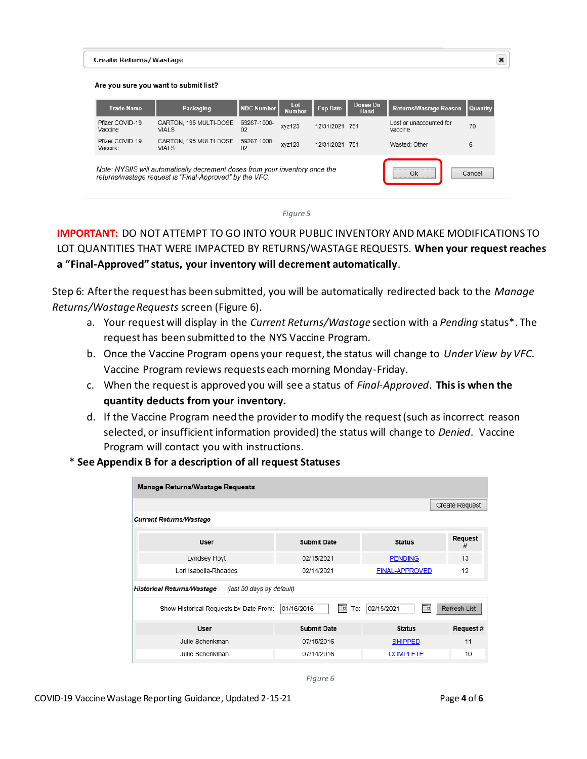#### **Create Returns/Wastage**

#### Are you sure you want to submit list?

| <b>Trade Name</b>          | Packaging                                                                                                                               | NDC Number        | Lot<br><b>Number</b> | <b>Exp Date</b> | Doses On<br>Hand | <b>Returns/Wastage Reason</b>      | <b>Quantity</b> |
|----------------------------|-----------------------------------------------------------------------------------------------------------------------------------------|-------------------|----------------------|-----------------|------------------|------------------------------------|-----------------|
| Pfizer COVID-19<br>Vaccine | CARTON, 195 MULTI-DOSE<br>VIAI S                                                                                                        | 59267-1000-<br>02 | xvz123               | 12/31/2021 751  |                  | Lost or unaccounted for<br>vaccine | 70              |
| Pfizer COVID-19<br>Vaccine | CARTON, 195 MULTI-DOSE<br>VIAI S                                                                                                        | 59267-1000-<br>02 | xvz123               | 12/31/2021 751  |                  | Wasted: Other                      | 6               |
|                            | Note: NYSIIS will automatically decrement doses from your inventory once the<br>returns/wastage request is "Final-Approved" by the VFC. |                   |                      |                 |                  | <br>Ok<br>                         | Cancel          |

*Figure 5*

### **IMPORTANT:** DO NOT ATTEMPT TO GO INTO YOUR PUBLIC INVENTORY AND MAKE MODIFICATIONS TO LOT QUANTITIES THAT WERE IMPACTED BY RETURNS/WASTAGE REQUESTS. **When your request reaches a "Final-Approved" status, your inventory will decrement automatically**.

Step 6: After the request has been submitted, you will be automatically redirected back to the *Manage Returns/Wastage Requests* screen (Figure 6).

- a. Your request will display in the *Current Returns/Wastage* section with a *Pending* status\*. The request has been submitted to the NYS Vaccine Program.
- b. Once the Vaccine Program opens your request, the status will change to *Under View by VFC.* Vaccine Program reviews requests each morning Monday-Friday.
- c. When the request is approved you will see a status of *Final-Approved*. **This is when the quantity deducts from your inventory.**
- d. If the Vaccine Program need the provider to modify the request (such as incorrect reason selected, or insufficient information provided) the status will change to *Denied*. Vaccine Program will contact you with instructions.
- \* **See Appendix B for a description of all request Statuses**

| <b>Manage Returns/Wastage Requests</b>                         |                         |                       |                |
|----------------------------------------------------------------|-------------------------|-----------------------|----------------|
|                                                                |                         |                       | Create Request |
| <b>Current Returns/Wastage</b>                                 |                         |                       |                |
| User                                                           | <b>Submit Date</b>      | <b>Status</b>         | Request<br>#   |
| Lyndsey Hoyt                                                   | 02/15/2021              | <b>PENDING</b>        | 13             |
| Lori Isabella-Rhoades                                          | 02/14/2021              | <b>FINAL-APPROVED</b> | 12             |
| <b>Historical Returns/Wastage</b><br>(last 30 days by default) |                         |                       |                |
| Show Historical Requests by Date From:                         | 01/16/2016<br>Τm<br>To: | 02/15/2021<br>▔       | Refresh List   |
| <b>User</b>                                                    | <b>Submit Date</b>      | <b>Status</b>         | Request#       |
| Julie Schenkman                                                | 07/15/2016              | <b>SHIPPED</b>        | 11             |
| Julie Schenkman                                                | 07/14/2016              | <b>COMPLETE</b>       | 10             |
|                                                                |                         |                       |                |

*Figure 6*

 $\pmb{\times}$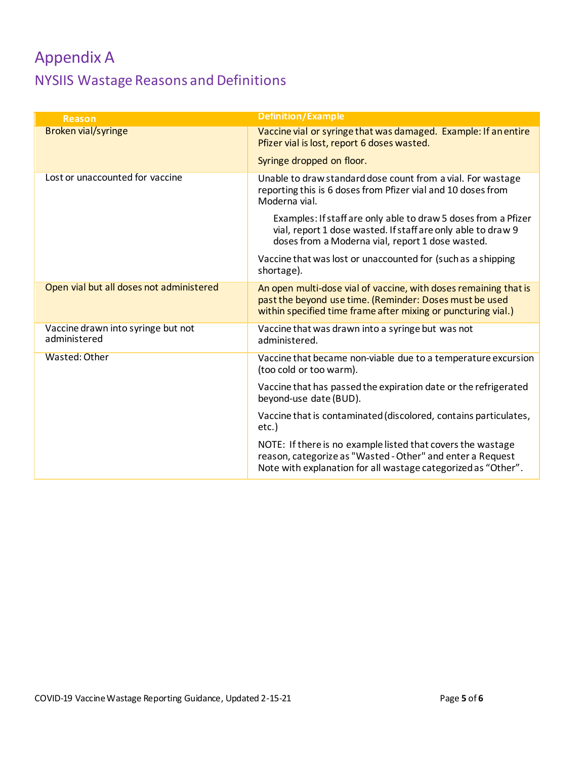# Appendix A NYSIIS Wastage Reasons and Definitions

| <b>Reason</b>                                      | <b>Definition/Example</b>                                                                                                                                                                    |
|----------------------------------------------------|----------------------------------------------------------------------------------------------------------------------------------------------------------------------------------------------|
| <b>Broken vial/syringe</b>                         | Vaccine vial or syringe that was damaged. Example: If an entire<br>Pfizer vial is lost, report 6 doses wasted.                                                                               |
|                                                    | Syringe dropped on floor.                                                                                                                                                                    |
| Lost or unaccounted for vaccine                    | Unable to draw standard dose count from a vial. For wastage<br>reporting this is 6 doses from Pfizer vial and 10 doses from<br>Moderna vial.                                                 |
|                                                    | Examples: If staff are only able to draw 5 doses from a Pfizer<br>vial, report 1 dose wasted. If staff are only able to draw 9<br>doses from a Moderna vial, report 1 dose wasted.           |
|                                                    | Vaccine that was lost or unaccounted for (such as a shipping<br>shortage).                                                                                                                   |
| Open vial but all doses not administered           | An open multi-dose vial of vaccine, with doses remaining that is<br>past the beyond use time. (Reminder: Doses must be used<br>within specified time frame after mixing or puncturing vial.) |
| Vaccine drawn into syringe but not<br>administered | Vaccine that was drawn into a syringe but was not<br>administered.                                                                                                                           |
| Wasted: Other                                      | Vaccine that became non-viable due to a temperature excursion<br>(too cold or too warm).                                                                                                     |
|                                                    | Vaccine that has passed the expiration date or the refrigerated<br>beyond-use date (BUD).                                                                                                    |
|                                                    | Vaccine that is contaminated (discolored, contains particulates,<br>etc.)                                                                                                                    |
|                                                    | NOTE: If there is no example listed that covers the wastage<br>reason, categorize as "Wasted - Other" and enter a Request<br>Note with explanation for all wastage categorized as "Other".   |